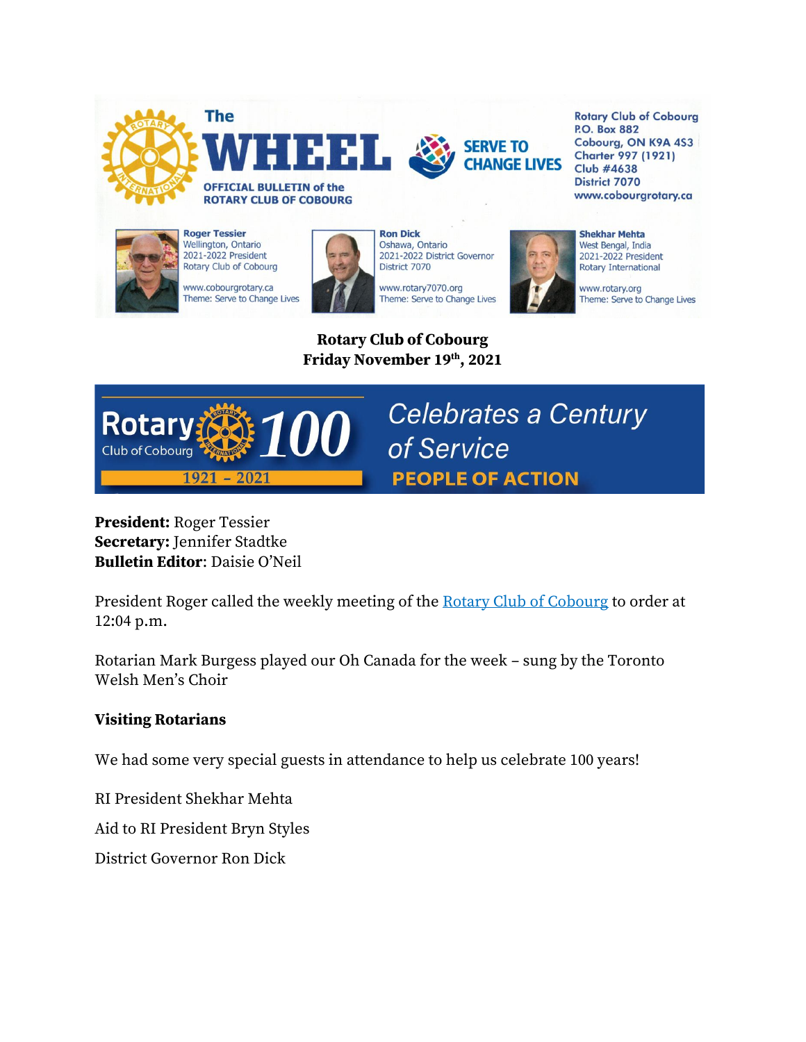



**Roger Tessier** Wellington, Ontario<br>2021-2022 President Rotary Club of Cobourg

www.cobourgrotary.ca Theme: Serve to Change Lives



**Ron Dick** Oshawa, Ontario 2021-2022 District Governor District 7070

www.rotary7070.org Theme: Serve to Change Lives



**SERVE TO** 

**CHANGE LIVES** 

**Rotary Club of Cobourg P.O. Box 882** Cobourg, ON K9A 4S3 **Charter 997 (1921) Club #4638 District 7070** www.cobourgrotary.ca

**Shekhar Mehta** West Bengal, India 2021-2022 President Rotary International

www.rotary.org Theme: Serve to Change Lives

**Rotary Club of Cobourg Friday November 19th, 2021**



**President:** Roger Tessier **Secretary:** Jennifer Stadtke **Bulletin Editor**: Daisie O'Neil

President Roger called the weekly meeting of the [Rotary Club of Cobourg](http://cobourgrotary.ca/) to order at 12:04 p.m.

Rotarian Mark Burgess played our Oh Canada for the week – sung by the Toronto Welsh Men's Choir

#### **Visiting Rotarians**

We had some very special guests in attendance to help us celebrate 100 years!

RI President Shekhar Mehta

Aid to RI President Bryn Styles

District Governor Ron Dick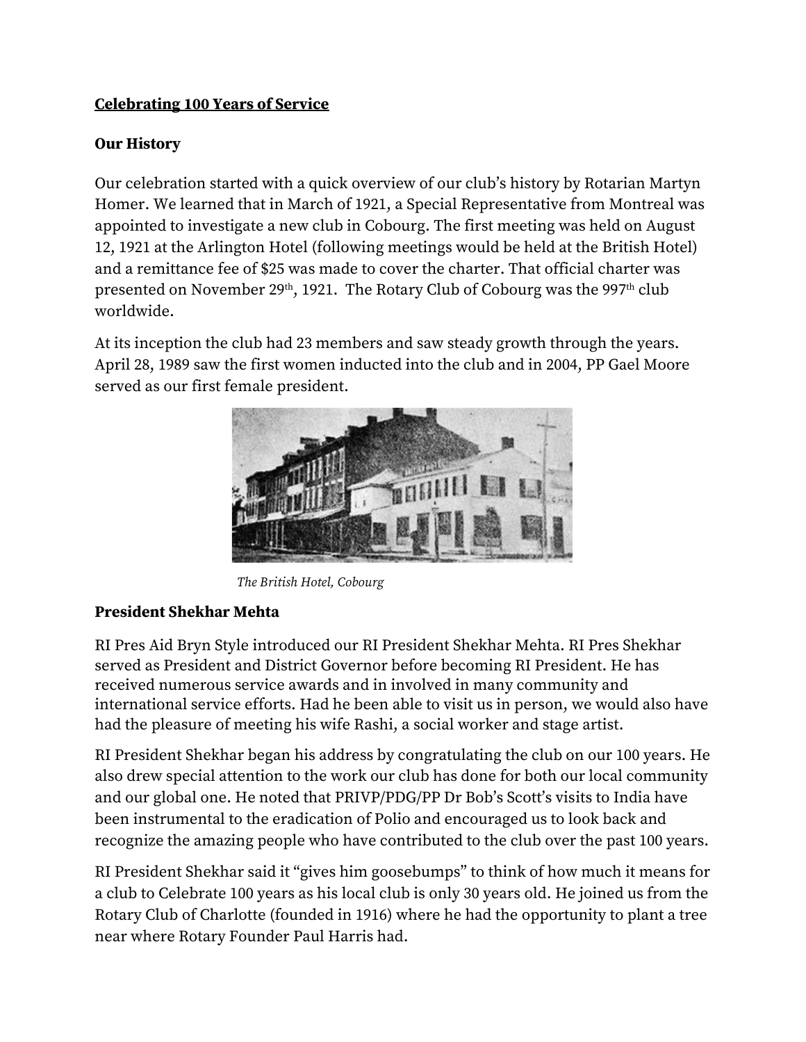## **Celebrating 100 Years of Service**

#### **Our History**

Our celebration started with a quick overview of our club's history by Rotarian Martyn Homer. We learned that in March of 1921, a Special Representative from Montreal was appointed to investigate a new club in Cobourg. The first meeting was held on August 12, 1921 at the Arlington Hotel (following meetings would be held at the British Hotel) and a remittance fee of \$25 was made to cover the charter. That official charter was presented on November 29<sup>th</sup>, 1921. The Rotary Club of Cobourg was the 997<sup>th</sup> club worldwide.

At its inception the club had 23 members and saw steady growth through the years. April 28, 1989 saw the first women inducted into the club and in 2004, PP Gael Moore served as our first female president.



*The British Hotel, Cobourg* 

#### **President Shekhar Mehta**

RI Pres Aid Bryn Style introduced our RI President Shekhar Mehta. RI Pres Shekhar served as President and District Governor before becoming RI President. He has received numerous service awards and in involved in many community and international service efforts. Had he been able to visit us in person, we would also have had the pleasure of meeting his wife Rashi, a social worker and stage artist.

RI President Shekhar began his address by congratulating the club on our 100 years. He also drew special attention to the work our club has done for both our local community and our global one. He noted that PRIVP/PDG/PP Dr Bob's Scott's visits to India have been instrumental to the eradication of Polio and encouraged us to look back and recognize the amazing people who have contributed to the club over the past 100 years.

RI President Shekhar said it "gives him goosebumps" to think of how much it means for a club to Celebrate 100 years as his local club is only 30 years old. He joined us from the Rotary Club of Charlotte (founded in 1916) where he had the opportunity to plant a tree near where Rotary Founder Paul Harris had.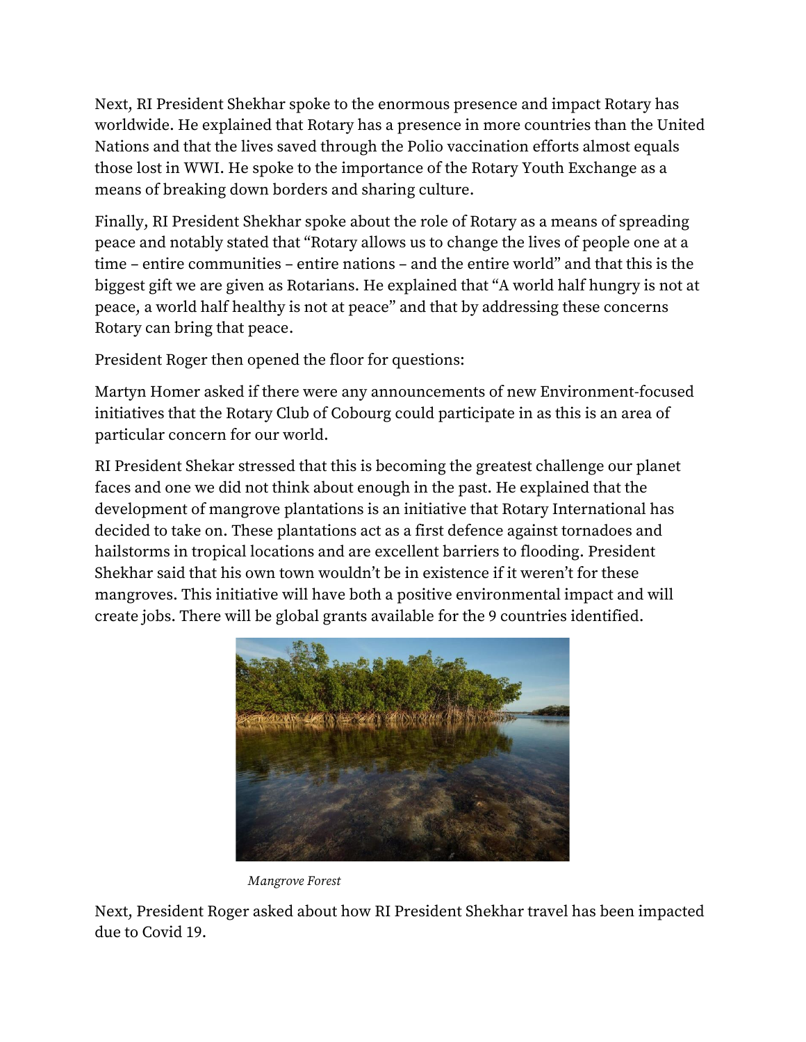Next, RI President Shekhar spoke to the enormous presence and impact Rotary has worldwide. He explained that Rotary has a presence in more countries than the United Nations and that the lives saved through the Polio vaccination efforts almost equals those lost in WWI. He spoke to the importance of the Rotary Youth Exchange as a means of breaking down borders and sharing culture.

Finally, RI President Shekhar spoke about the role of Rotary as a means of spreading peace and notably stated that "Rotary allows us to change the lives of people one at a time – entire communities – entire nations – and the entire world" and that this is the biggest gift we are given as Rotarians. He explained that "A world half hungry is not at peace, a world half healthy is not at peace" and that by addressing these concerns Rotary can bring that peace.

President Roger then opened the floor for questions:

Martyn Homer asked if there were any announcements of new Environment-focused initiatives that the Rotary Club of Cobourg could participate in as this is an area of particular concern for our world.

RI President Shekar stressed that this is becoming the greatest challenge our planet faces and one we did not think about enough in the past. He explained that the development of mangrove plantations is an initiative that Rotary International has decided to take on. These plantations act as a first defence against tornadoes and hailstorms in tropical locations and are excellent barriers to flooding. President Shekhar said that his own town wouldn't be in existence if it weren't for these mangroves. This initiative will have both a positive environmental impact and will create jobs. There will be global grants available for the 9 countries identified.



*Mangrove Forest* 

Next, President Roger asked about how RI President Shekhar travel has been impacted due to Covid 19.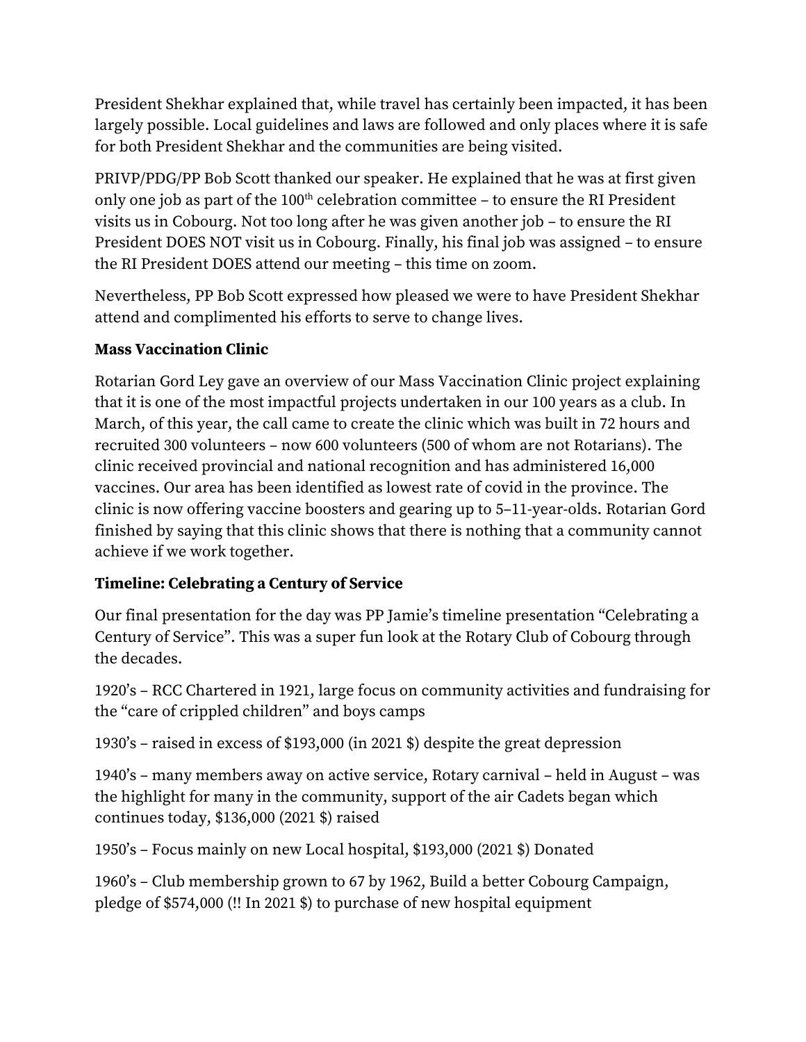President Shekhar explained that, while travel has certainly been impacted, it has been largely possible. Local guidelines and laws are followed and only places where it is safe for both President Shekhar and the communities are being visited.

PRIVP/PDG/PP Bob Scott thanked our speaker. He explained that he was at first given only one job as part of the  $100<sup>th</sup>$  celebration committee – to ensure the RI President visits us in Cobourg. Not too long after he was given another job – to ensure the RI President DOES NOT visit us in Cobourg. Finally, his final job was assigned – to ensure the RI President DOES attend our meeting – this time on zoom.

Nevertheless, PP Bob Scott expressed how pleased we were to have President Shekhar attend and complimented his efforts to serve to change lives.

### **Mass Vaccination Clinic**

Rotarian Gord Ley gave an overview of our Mass Vaccination Clinic project explaining that it is one of the most impactful projects undertaken in our 100 years as a club. In March, of this year, the call came to create the clinic which was built in 72 hours and recruited 300 volunteers – now 600 volunteers (500 of whom are not Rotarians). The clinic received provincial and national recognition and has administered 16,000 vaccines. Our area has been identified as lowest rate of covid in the province. The clinic is now offering vaccine boosters and gearing up to 5–11-year-olds. Rotarian Gord finished by saying that this clinic shows that there is nothing that a community cannot achieve if we work together.

## **Timeline: Celebrating a Century of Service**

Our final presentation for the day was PP Jamie's timeline presentation "Celebrating a Century of Service". This was a super fun look at the Rotary Club of Cobourg through the decades.

1920's – RCC Chartered in 1921, large focus on community activities and fundraising for the "care of crippled children" and boys camps

1930's – raised in excess of \$193,000 (in 2021 \$) despite the great depression

1940's – many members away on active service, Rotary carnival – held in August – was the highlight for many in the community, support of the air Cadets began which continues today, \$136,000 (2021 \$) raised

1950's – Focus mainly on new Local hospital, \$193,000 (2021 \$) Donated

1960's – Club membership grown to 67 by 1962, Build a better Cobourg Campaign, pledge of \$574,000 (!! In 2021 \$) to purchase of new hospital equipment